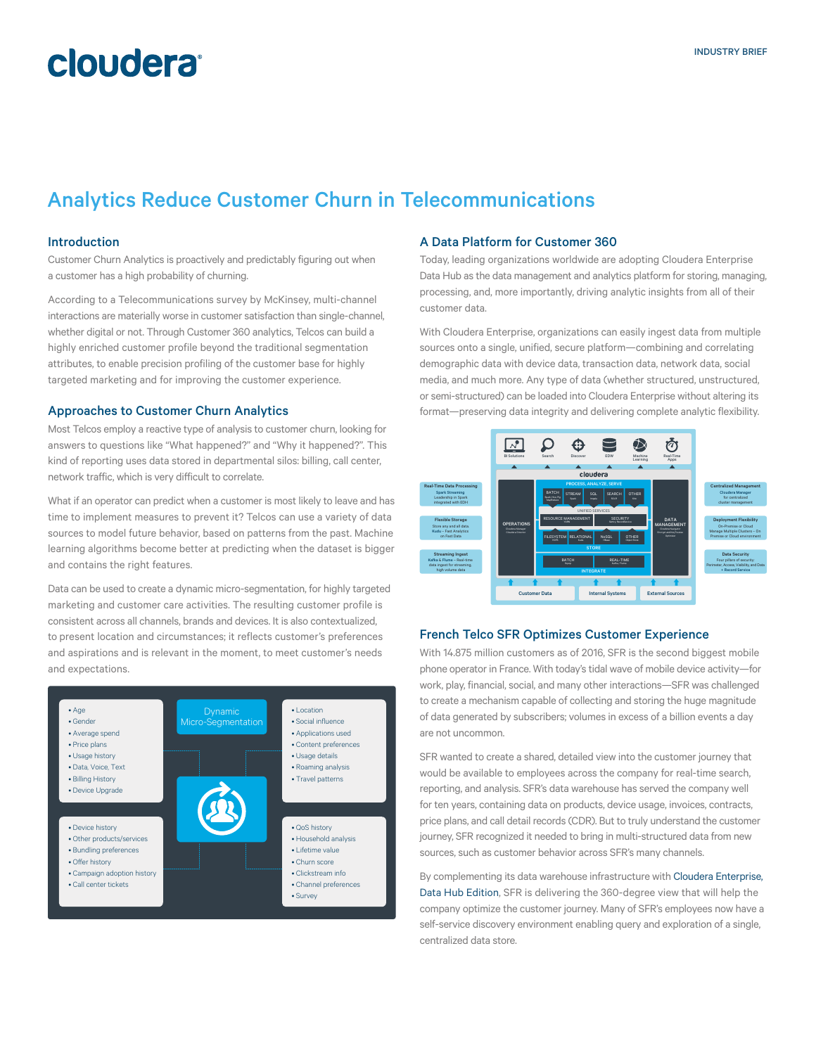## **cloudera**

### Analytics Reduce Customer Churn in Telecommunications

#### Introduction

Customer Churn Analytics is proactively and predictably figuring out when a customer has a high probability of churning.

According to a Telecommunications survey by McKinsey, multi-channel interactions are materially worse in customer satisfaction than single-channel, whether digital or not. Through Customer 360 analytics, Telcos can build a highly enriched customer profile beyond the traditional segmentation attributes, to enable precision profiling of the customer base for highly targeted marketing and for improving the customer experience.

#### Approaches to Customer Churn Analytics

Most Telcos employ a reactive type of analysis to customer churn, looking for answers to questions like "What happened?" and "Why it happened?". This kind of reporting uses data stored in departmental silos: billing, call center, network traffic, which is very difficult to correlate.

What if an operator can predict when a customer is most likely to leave and has time to implement measures to prevent it? Telcos can use a variety of data sources to model future behavior, based on patterns from the past. Machine learning algorithms become better at predicting when the dataset is bigger and contains the right features.

Data can be used to create a dynamic micro-segmentation, for highly targeted marketing and customer care activities. The resulting customer profile is consistent across all channels, brands and devices. It is also contextualized, to present location and circumstances; it reflects customer's preferences and aspirations and is relevant in the moment, to meet customer's needs and expectations.



#### A Data Platform for Customer 360

Today, leading organizations worldwide are adopting Cloudera Enterprise Data Hub as the data management and analytics platform for storing, managing, processing, and, more importantly, driving analytic insights from all of their customer data.

With Cloudera Enterprise, organizations can easily ingest data from multiple sources onto a single, unified, secure platform—combining and correlating demographic data with device data, transaction data, network data, social media, and much more. Any type of data (whether structured, unstructured, or semi-structured) can be loaded into Cloudera Enterprise without altering its format—preserving data integrity and delivering complete analytic flexibility.



### French Telco SFR Optimizes Customer Experience

With 14.875 million customers as of 2016, SFR is the second biggest mobile phone operator in France. With today's tidal wave of mobile device activity—for work, play, financial, social, and many other interactions—SFR was challenged to create a mechanism capable of collecting and storing the huge magnitude of data generated by subscribers; volumes in excess of a billion events a day are not uncommon.

SFR wanted to create a shared, detailed view into the customer journey that would be available to employees across the company for real-time search, reporting, and analysis. SFR's data warehouse has served the company well for ten years, containing data on products, device usage, invoices, contracts, price plans, and call detail records (CDR). But to truly understand the customer journey, SFR recognized it needed to bring in multi-structured data from new sources, such as customer behavior across SFR's many channels.

By complementing its data warehouse infrastructure with Cloudera Enterprise. [Data Hub Edition](http://cloudera.com/content/cloudera/en/products-and-services/cloudera-enterprise.html), SFR is delivering the 360-degree view that will help the company optimize the customer journey. Many of SFR's employees now have a self-service discovery environment enabling query and exploration of a single, centralized data store.